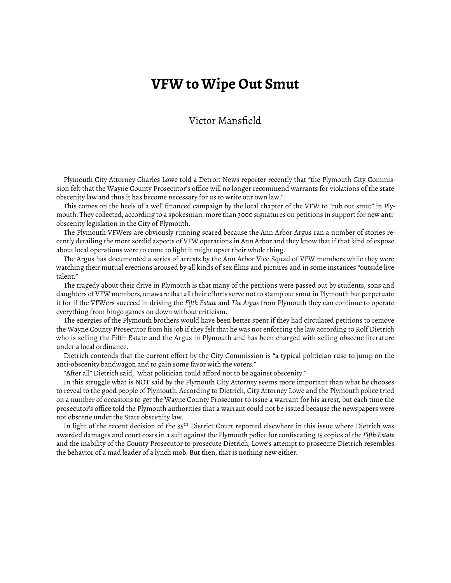## **VFW to Wipe Out Smut**

## Victor Mansfield

Plymouth City Attorney Charles Lowe told a Detroit News reporter recently that "the Plymouth City Commission felt that the Wayne County Prosecutor's office will no longer recommend warrants for violations of the state obscenity law and thus it has become necessary for us to write our own law."

This comes on the heels of a well financed campaign by the local chapter of the VFW to "rub out smut" in Plymouth. They collected, according to a spokesman, more than 3000 signatures on petitions in support for new antiobscenity legislation in the City of Plymouth.

The Plymouth VFWers are obviously running scared because the Ann Arbor Argus ran a number of stories recently detailing the more sordid aspects of VFW operations in Ann Arbor and they know that if that kind of expose about local operations were to come to light it might upset their whole thing.

The Argus has documented a series of arrests by the Ann Arbor Vice Squad of VFW members while they were watching their mutual erections aroused by all kinds of sex films and pictures and in some instances "outside live talent."

The tragedy about their drive in Plymouth is that many of the petitions were passed out by students, sons and daughters of VFW members, unaware that all their efforts serve not to stamp out smut in Plymouth but perpetuate it for if the VFWers succeed in driving the *Fiǡth Estate* and *The Argus* from Plymouth they can continue to operate everything from bingo games on down without criticism.

The energies of the Plymouth brothers would have been better spent if they had circulated petitions to remove the Wayne County Prosecutor from his job if they felt that he was not enforcing the law according to Rolf Dietrich who is selling the Fifth Estate and the Argus in Plymouth and has been charged with selling obscene literature under a local ordinance.

Dietrich contends that the current effort by the City Commission is "a typical politician ruse to jump on the anti-obscenity bandwagon and to gain some favor with the voters."

"After all" Dietrich said, "what politician could afford not to be against obscenity."

In this struggle what is NOT said by the Plymouth City Attorney seems more important than what he chooses to reveal to the good people of Plymouth. According to Dietrich, City Attorney Lowe and the Plymouth police tried on a number of occasions to get the Wayne County Prosecutor to issue a warrant for his arrest, but each time the prosecutor's office told the Plymouth authorities that a warrant could not be issued because the newspapers were not obscene under the State obscenity law.

In light of the recent decision of the  $35<sup>th</sup>$  District Court reported elsewhere in this issue where Dietrich was awarded damages and court costs in a suit against the Plymouth police for confiscating 15 copies of the *Fiǡth Estate* and the inability of the County Prosecutor to prosecute Dietrich, Lowe's attempt to prosecute Dietrich resembles the behavior of a mad leader of a lynch mob. But then, that is nothing new either.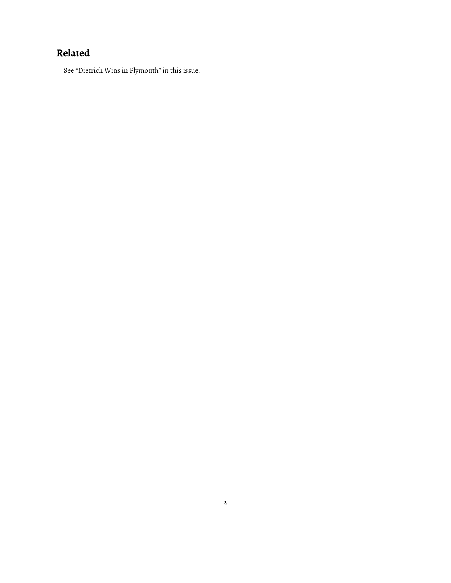## **Related**

See "Dietrich Wins in Plymouth" [in this issue](https://www.fifthestate.org/archive/95-december-26-1969-january-7-1970/dietrich-wins-in-plymouth/).